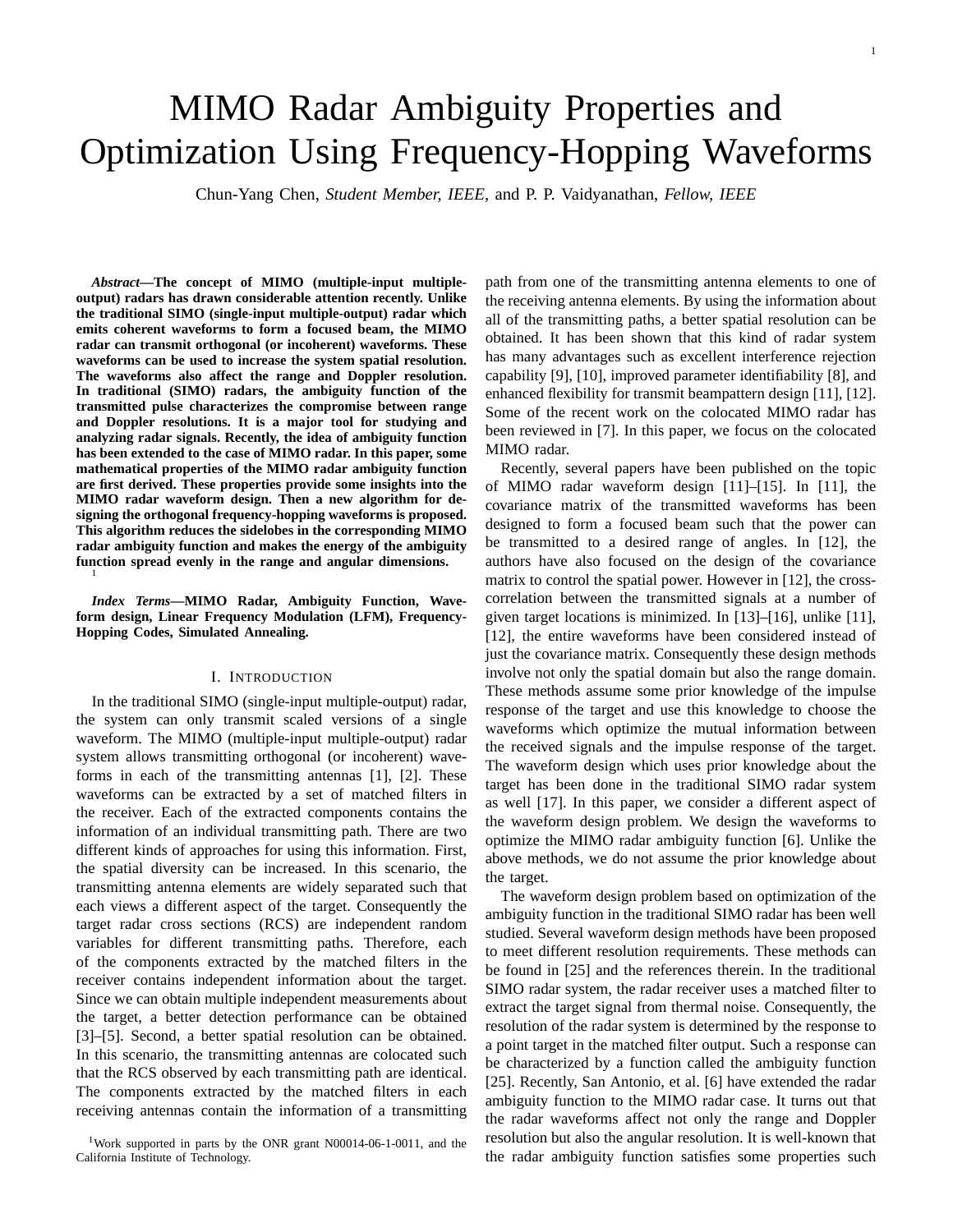# MIMO Radar Ambiguity Properties and Optimization Using Frequency-Hopping Waveforms

Chun-Yang Chen, *Student Member, IEEE,* and P. P. Vaidyanathan, *Fellow, IEEE*

*Abstract***—The concept of MIMO (multiple-input multipleoutput) radars has drawn considerable attention recently. Unlike the traditional SIMO (single-input multiple-output) radar which emits coherent waveforms to form a focused beam, the MIMO radar can transmit orthogonal (or incoherent) waveforms. These waveforms can be used to increase the system spatial resolution. The waveforms also affect the range and Doppler resolution. In traditional (SIMO) radars, the ambiguity function of the transmitted pulse characterizes the compromise between range and Doppler resolutions. It is a major tool for studying and analyzing radar signals. Recently, the idea of ambiguity function has been extended to the case of MIMO radar. In this paper, some mathematical properties of the MIMO radar ambiguity function are first derived. These properties provide some insights into the MIMO radar waveform design. Then a new algorithm for designing the orthogonal frequency-hopping waveforms is proposed. This algorithm reduces the sidelobes in the corresponding MIMO radar ambiguity function and makes the energy of the ambiguity function spread evenly in the range and angular dimensions.** <sup>1</sup>

*Index Terms***—MIMO Radar, Ambiguity Function, Waveform design, Linear Frequency Modulation (LFM), Frequency-Hopping Codes, Simulated Annealing.**

# I. INTRODUCTION

In the traditional SIMO (single-input multiple-output) radar, the system can only transmit scaled versions of a single waveform. The MIMO (multiple-input multiple-output) radar system allows transmitting orthogonal (or incoherent) waveforms in each of the transmitting antennas [1], [2]. These waveforms can be extracted by a set of matched filters in the receiver. Each of the extracted components contains the information of an individual transmitting path. There are two different kinds of approaches for using this information. First, the spatial diversity can be increased. In this scenario, the transmitting antenna elements are widely separated such that each views a different aspect of the target. Consequently the target radar cross sections (RCS) are independent random variables for different transmitting paths. Therefore, each of the components extracted by the matched filters in the receiver contains independent information about the target. Since we can obtain multiple independent measurements about the target, a better detection performance can be obtained [3]–[5]. Second, a better spatial resolution can be obtained. In this scenario, the transmitting antennas are colocated such that the RCS observed by each transmitting path are identical. The components extracted by the matched filters in each receiving antennas contain the information of a transmitting

path from one of the transmitting antenna elements to one of the receiving antenna elements. By using the information about all of the transmitting paths, a better spatial resolution can be obtained. It has been shown that this kind of radar system has many advantages such as excellent interference rejection capability [9], [10], improved parameter identifiability [8], and enhanced flexibility for transmit beampattern design [11], [12]. Some of the recent work on the colocated MIMO radar has been reviewed in [7]. In this paper, we focus on the colocated MIMO radar.

Recently, several papers have been published on the topic of MIMO radar waveform design [11]–[15]. In [11], the covariance matrix of the transmitted waveforms has been designed to form a focused beam such that the power can be transmitted to a desired range of angles. In [12], the authors have also focused on the design of the covariance matrix to control the spatial power. However in [12], the crosscorrelation between the transmitted signals at a number of given target locations is minimized. In [13]–[16], unlike [11], [12], the entire waveforms have been considered instead of just the covariance matrix. Consequently these design methods involve not only the spatial domain but also the range domain. These methods assume some prior knowledge of the impulse response of the target and use this knowledge to choose the waveforms which optimize the mutual information between the received signals and the impulse response of the target. The waveform design which uses prior knowledge about the target has been done in the traditional SIMO radar system as well [17]. In this paper, we consider a different aspect of the waveform design problem. We design the waveforms to optimize the MIMO radar ambiguity function [6]. Unlike the above methods, we do not assume the prior knowledge about the target.

The waveform design problem based on optimization of the ambiguity function in the traditional SIMO radar has been well studied. Several waveform design methods have been proposed to meet different resolution requirements. These methods can be found in [25] and the references therein. In the traditional SIMO radar system, the radar receiver uses a matched filter to extract the target signal from thermal noise. Consequently, the resolution of the radar system is determined by the response to a point target in the matched filter output. Such a response can be characterized by a function called the ambiguity function [25]. Recently, San Antonio, et al. [6] have extended the radar ambiguity function to the MIMO radar case. It turns out that the radar waveforms affect not only the range and Doppler resolution but also the angular resolution. It is well-known that the radar ambiguity function satisfies some properties such

<sup>&</sup>lt;sup>1</sup>Work supported in parts by the ONR grant N00014-06-1-0011, and the California Institute of Technology.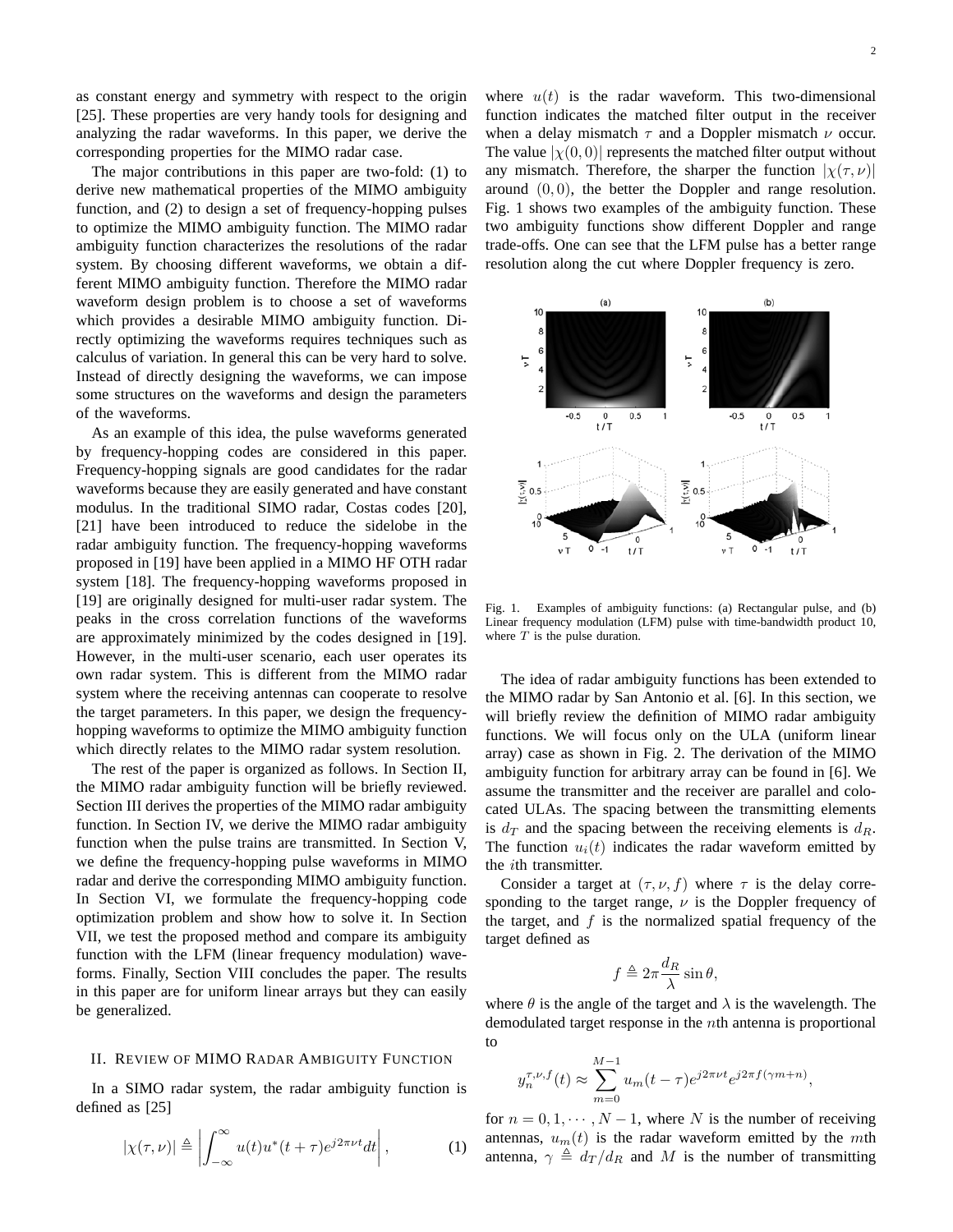as constant energy and symmetry with respect to the origin [25]. These properties are very handy tools for designing and analyzing the radar waveforms. In this paper, we derive the corresponding properties for the MIMO radar case.

The major contributions in this paper are two-fold: (1) to derive new mathematical properties of the MIMO ambiguity function, and (2) to design a set of frequency-hopping pulses to optimize the MIMO ambiguity function. The MIMO radar ambiguity function characterizes the resolutions of the radar system. By choosing different waveforms, we obtain a different MIMO ambiguity function. Therefore the MIMO radar waveform design problem is to choose a set of waveforms which provides a desirable MIMO ambiguity function. Directly optimizing the waveforms requires techniques such as calculus of variation. In general this can be very hard to solve. Instead of directly designing the waveforms, we can impose some structures on the waveforms and design the parameters of the waveforms.

As an example of this idea, the pulse waveforms generated by frequency-hopping codes are considered in this paper. Frequency-hopping signals are good candidates for the radar waveforms because they are easily generated and have constant modulus. In the traditional SIMO radar, Costas codes [20], [21] have been introduced to reduce the sidelobe in the radar ambiguity function. The frequency-hopping waveforms proposed in [19] have been applied in a MIMO HF OTH radar system [18]. The frequency-hopping waveforms proposed in [19] are originally designed for multi-user radar system. The peaks in the cross correlation functions of the waveforms are approximately minimized by the codes designed in [19]. However, in the multi-user scenario, each user operates its own radar system. This is different from the MIMO radar system where the receiving antennas can cooperate to resolve the target parameters. In this paper, we design the frequencyhopping waveforms to optimize the MIMO ambiguity function which directly relates to the MIMO radar system resolution.

The rest of the paper is organized as follows. In Section II, the MIMO radar ambiguity function will be briefly reviewed. Section III derives the properties of the MIMO radar ambiguity function. In Section IV, we derive the MIMO radar ambiguity function when the pulse trains are transmitted. In Section V, we define the frequency-hopping pulse waveforms in MIMO radar and derive the corresponding MIMO ambiguity function. In Section VI, we formulate the frequency-hopping code optimization problem and show how to solve it. In Section VII, we test the proposed method and compare its ambiguity function with the LFM (linear frequency modulation) waveforms. Finally, Section VIII concludes the paper. The results in this paper are for uniform linear arrays but they can easily be generalized.

# II. REVIEW OF MIMO RADAR AMBIGUITY FUNCTION

In a SIMO radar system, the radar ambiguity function is defined as [25]

$$
|\chi(\tau,\nu)| \triangleq \left| \int_{-\infty}^{\infty} u(t) u^*(t+\tau) e^{j2\pi \nu t} dt \right|,
$$
 (1)

where  $u(t)$  is the radar waveform. This two-dimensional function indicates the matched filter output in the receiver when a delay mismatch  $\tau$  and a Doppler mismatch  $\nu$  occur. The value  $|\chi(0,0)|$  represents the matched filter output without any mismatch. Therefore, the sharper the function  $|\chi(\tau,\nu)|$ around  $(0, 0)$ , the better the Doppler and range resolution. Fig. 1 shows two examples of the ambiguity function. These two ambiguity functions show different Doppler and range trade-offs. One can see that the LFM pulse has a better range resolution along the cut where Doppler frequency is zero.



Fig. 1. Examples of ambiguity functions: (a) Rectangular pulse, and (b) Linear frequency modulation (LFM) pulse with time-bandwidth product 10, where  $T$  is the pulse duration.

The idea of radar ambiguity functions has been extended to the MIMO radar by San Antonio et al. [6]. In this section, we will briefly review the definition of MIMO radar ambiguity functions. We will focus only on the ULA (uniform linear array) case as shown in Fig. 2. The derivation of the MIMO ambiguity function for arbitrary array can be found in [6]. We assume the transmitter and the receiver are parallel and colocated ULAs. The spacing between the transmitting elements is  $d_T$  and the spacing between the receiving elements is  $d_R$ . The function  $u_i(t)$  indicates the radar waveform emitted by the ith transmitter.

Consider a target at  $(\tau, \nu, f)$  where  $\tau$  is the delay corresponding to the target range,  $\nu$  is the Doppler frequency of the target, and  $f$  is the normalized spatial frequency of the target defined as

$$
f \triangleq 2\pi \frac{d_R}{\lambda} \sin \theta,
$$

where  $\theta$  is the angle of the target and  $\lambda$  is the wavelength. The demodulated target response in the nth antenna is proportional to

$$
y_n^{\tau,\nu,f}(t) \approx \sum_{m=0}^{M-1} u_m(t-\tau) e^{j2\pi \nu t} e^{j2\pi f(\gamma m+n)},
$$

for  $n = 0, 1, \dots, N - 1$ , where N is the number of receiving antennas,  $u_m(t)$  is the radar waveform emitted by the mth antenna,  $\gamma \triangleq d_T/d_R$  and M is the number of transmitting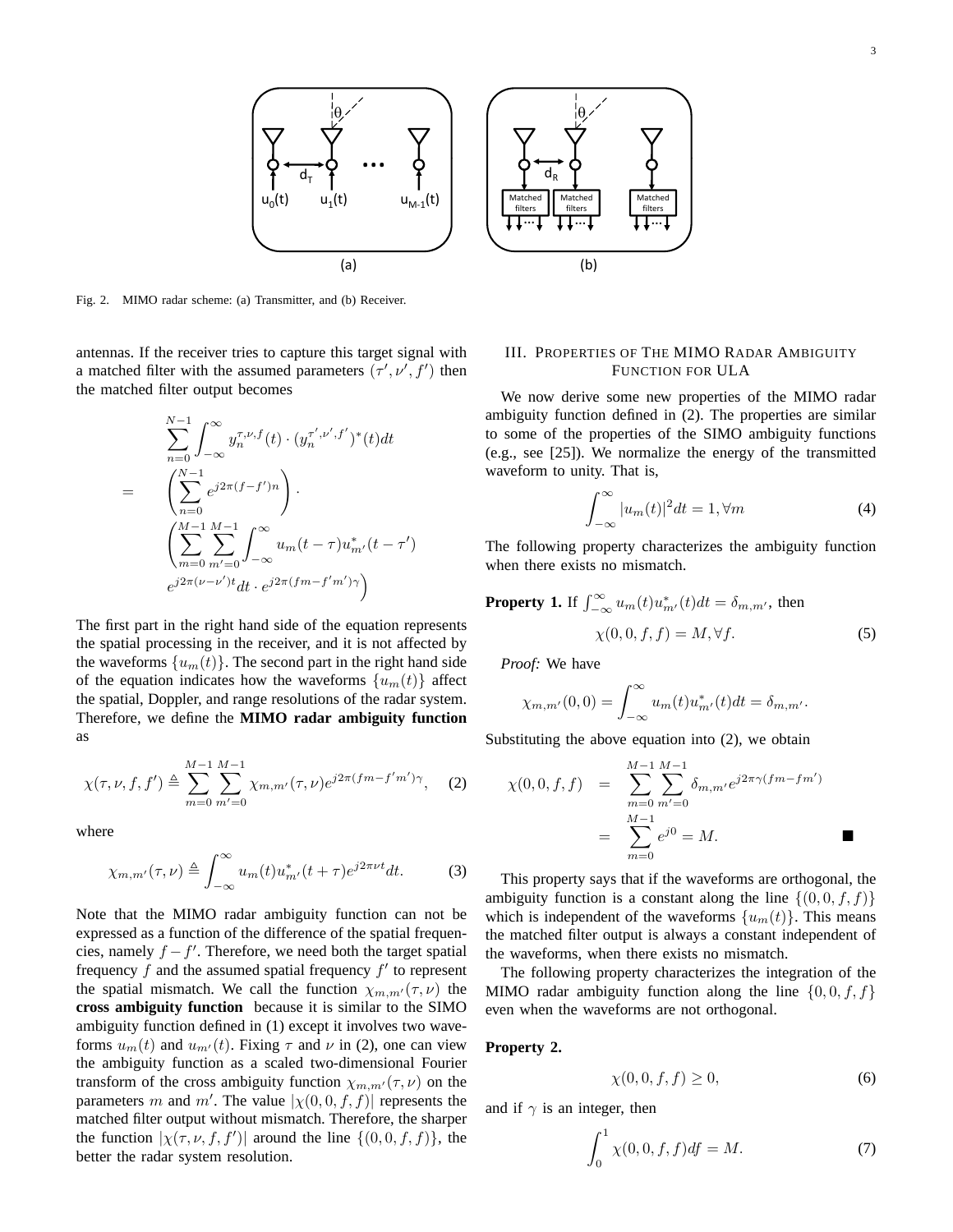

Fig. 2. MIMO radar scheme: (a) Transmitter, and (b) Receiver.

antennas. If the receiver tries to capture this target signal with a matched filter with the assumed parameters  $(\tau', \nu', f')$  then the matched filter output becomes

$$
\sum_{n=0}^{N-1} \int_{-\infty}^{\infty} y_n^{\tau, \nu, f}(t) \cdot (y_n^{\tau', \nu', f'})^*(t) dt
$$
  
= 
$$
\left( \sum_{n=0}^{N-1} e^{j2\pi (f-f')n} \right).
$$
  

$$
\left( \sum_{m=0}^{M-1} \sum_{m'=0}^{M-1} \int_{-\infty}^{\infty} u_m(t-\tau) u_{m'}^*(t-\tau')
$$
  

$$
e^{j2\pi (\nu-\nu')t} dt \cdot e^{j2\pi (fm-f'm')\gamma} \right)
$$

The first part in the right hand side of the equation represents the spatial processing in the receiver, and it is not affected by the waveforms  $\{u_m(t)\}\$ . The second part in the right hand side of the equation indicates how the waveforms  $\{u_m(t)\}\$ affect the spatial, Doppler, and range resolutions of the radar system. Therefore, we define the **MIMO radar ambiguity function** as

$$
\chi(\tau,\nu,f,f') \triangleq \sum_{m=0}^{M-1} \sum_{m'=0}^{M-1} \chi_{m,m'}(\tau,\nu) e^{j2\pi (fm - f'm')\gamma}, \quad (2)
$$

where

$$
\chi_{m,m'}(\tau,\nu) \triangleq \int_{-\infty}^{\infty} u_m(t) u_{m'}^*(t+\tau) e^{j2\pi \nu t} dt.
$$
 (3)

Note that the MIMO radar ambiguity function can not be expressed as a function of the difference of the spatial frequencies, namely  $f - f'$ . Therefore, we need both the target spatial frequency  $f$  and the assumed spatial frequency  $f'$  to represent the spatial mismatch. We call the function  $\chi_{m,m'}(\tau,\nu)$  the **cross ambiguity function** because it is similar to the SIMO ambiguity function defined in (1) except it involves two waveforms  $u_m(t)$  and  $u_{m'}(t)$ . Fixing  $\tau$  and  $\nu$  in (2), one can view the ambiguity function as a scaled two-dimensional Fourier transform of the cross ambiguity function  $\chi_{m,m'}(\tau,\nu)$  on the parameters m and m'. The value  $|\chi(0,0,f,f)|$  represents the matched filter output without mismatch. Therefore, the sharper the function  $|\chi(\tau,\nu,f,f')|$  around the line  $\{(0,0,f,f)\}\)$ , the better the radar system resolution.



# III. PROPERTIES OF THE MIMO RADAR AMBIGUITY FUNCTION FOR ULA

We now derive some new properties of the MIMO radar ambiguity function defined in (2). The properties are similar to some of the properties of the SIMO ambiguity functions (e.g., see [25]). We normalize the energy of the transmitted waveform to unity. That is,

$$
\int_{-\infty}^{\infty} |u_m(t)|^2 dt = 1, \forall m
$$
 (4)

The following property characterizes the ambiguity function when there exists no mismatch.

**Property 1.** If 
$$
\int_{-\infty}^{\infty} u_m(t) u_{m'}^*(t) dt = \delta_{m,m'}
$$
, then  
\n
$$
\chi(0,0,f,f) = M, \forall f.
$$
\n(5)

*Proof:* We have

$$
\chi_{m,m'}(0,0) = \int_{-\infty}^{\infty} u_m(t) u_{m'}^*(t) dt = \delta_{m,m'}.
$$

Substituting the above equation into (2), we obtain

$$
\chi(0,0,f,f) = \sum_{m=0}^{M-1} \sum_{m'=0}^{M-1} \delta_{m,m'} e^{j2\pi \gamma (fm - fm')}
$$
  
= 
$$
\sum_{m=0}^{M-1} e^{j0} = M.
$$

This property says that if the waveforms are orthogonal, the ambiguity function is a constant along the line  $\{(0,0,f,f)\}\$ which is independent of the waveforms  $\{u_m(t)\}\$ . This means the matched filter output is always a constant independent of the waveforms, when there exists no mismatch.

The following property characterizes the integration of the MIMO radar ambiguity function along the line  $\{0, 0, f, f\}$ even when the waveforms are not orthogonal.

# **Property 2.**

$$
\chi(0,0,f,f) \ge 0,\tag{6}
$$

and if  $\gamma$  is an integer, then

$$
\int_0^1 \chi(0,0,f,f) df = M.
$$
 (7)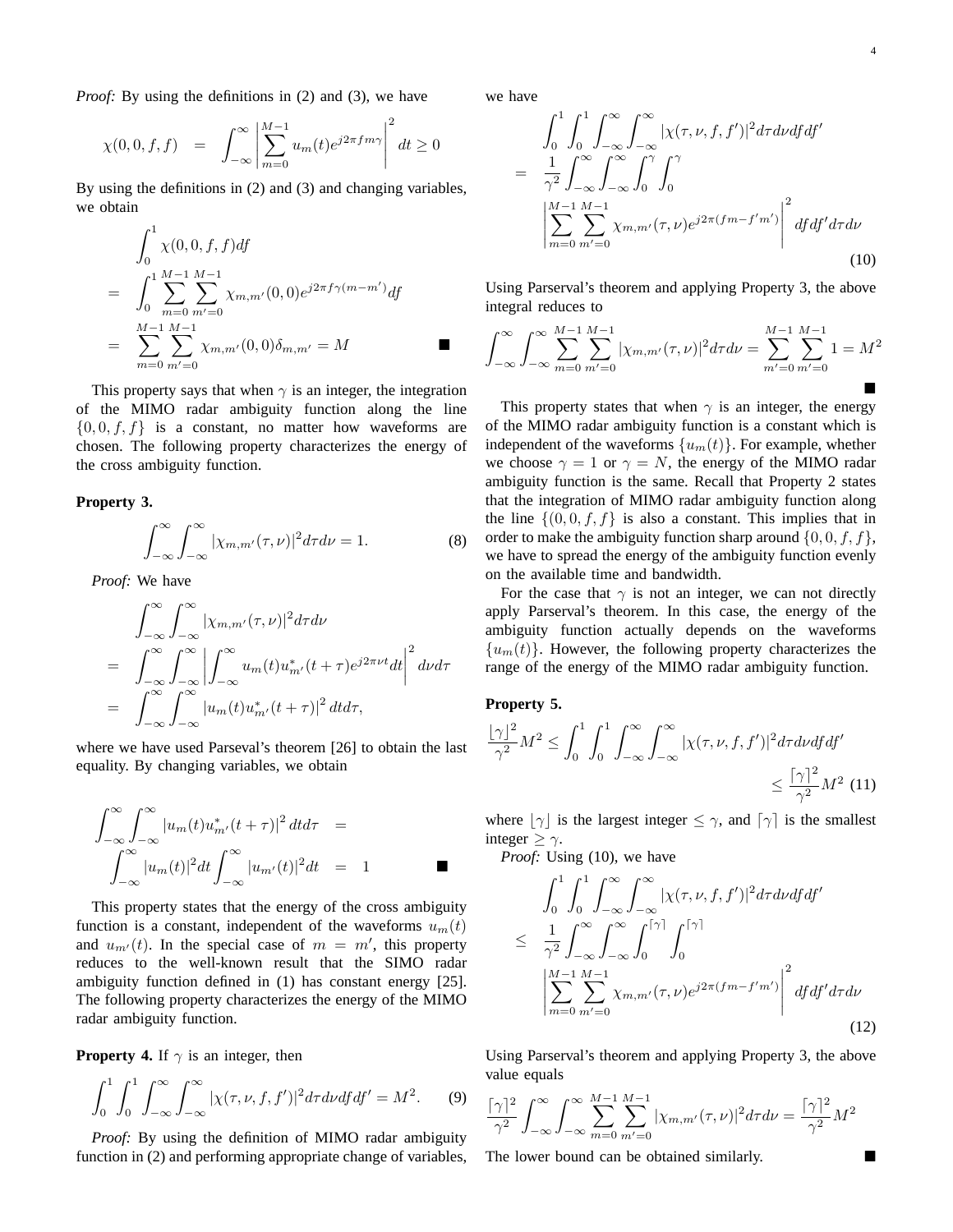*Proof:* By using the definitions in (2) and (3), we have

$$
\chi(0,0,f,f) = \int_{-\infty}^{\infty} \left| \sum_{m=0}^{M-1} u_m(t) e^{j2\pi fm\gamma} \right|^2 dt \ge 0
$$

By using the definitions in (2) and (3) and changing variables, we obtain

$$
\int_0^1 \chi(0,0,f,f) df
$$
  
= 
$$
\int_0^1 \sum_{m=0}^{M-1} \sum_{m'=0}^{M-1} \chi_{m,m'}(0,0) e^{j2\pi f \gamma(m-m')} df
$$
  
= 
$$
\sum_{m=0}^{M-1} \sum_{m'=0}^{M-1} \chi_{m,m'}(0,0) \delta_{m,m'} = M
$$

This property says that when  $\gamma$  is an integer, the integration of the MIMO radar ambiguity function along the line  $\{0,0,f,f\}$  is a constant, no matter how waveforms are chosen. The following property characterizes the energy of the cross ambiguity function.

**Property 3.**

$$
\int_{-\infty}^{\infty} \int_{-\infty}^{\infty} |\chi_{m,m'}(\tau,\nu)|^2 d\tau d\nu = 1.
$$
 (8)

*Proof:* We have

$$
\int_{-\infty}^{\infty} \int_{-\infty}^{\infty} |\chi_{m,m'}(\tau,\nu)|^2 d\tau d\nu
$$
\n
$$
= \int_{-\infty}^{\infty} \int_{-\infty}^{\infty} \left| \int_{-\infty}^{\infty} u_m(t) u_{m'}^*(t+\tau) e^{j2\pi \nu t} dt \right|^2 d\nu d\tau
$$
\n
$$
= \int_{-\infty}^{\infty} \int_{-\infty}^{\infty} |u_m(t) u_{m'}^*(t+\tau)|^2 dt d\tau,
$$

where we have used Parseval's theorem [26] to obtain the last equality. By changing variables, we obtain

$$
\int_{-\infty}^{\infty} \int_{-\infty}^{\infty} |u_m(t)u^*_{m'}(t+\tau)|^2 dt d\tau =
$$
  

$$
\int_{-\infty}^{\infty} |u_m(t)|^2 dt \int_{-\infty}^{\infty} |u_{m'}(t)|^2 dt = 1
$$

This property states that the energy of the cross ambiguity function is a constant, independent of the waveforms  $u_m(t)$ and  $u_{m'}(t)$ . In the special case of  $m = m'$ , this property reduces to the well-known result that the SIMO radar ambiguity function defined in (1) has constant energy [25]. The following property characterizes the energy of the MIMO radar ambiguity function.

**Property 4.** If  $\gamma$  is an integer, then

$$
\int_0^1 \int_0^1 \int_{-\infty}^\infty \int_{-\infty}^\infty |\chi(\tau,\nu,f,f')|^2 d\tau d\nu df df' = M^2.
$$
 (9)

*Proof:* By using the definition of MIMO radar ambiguity function in (2) and performing appropriate change of variables, we have

$$
\int_{0}^{1} \int_{0}^{1} \int_{-\infty}^{\infty} \int_{-\infty}^{\infty} |\chi(\tau, \nu, f, f')|^{2} d\tau d\nu df df'
$$
\n
$$
= \frac{1}{\gamma^{2}} \int_{-\infty}^{\infty} \int_{-\infty}^{\infty} \int_{0}^{\gamma} \int_{0}^{\gamma} \int_{0}^{\gamma} \left| \sum_{m=0}^{M-1} \sum_{m'=0}^{M-1} \chi_{m,m'}(\tau, \nu) e^{j2\pi (fm - f'm')} \right|^{2} df df' d\tau d\nu
$$
\n(10)

Using Parserval's theorem and applying Property 3, the above integral reduces to

$$
\int_{-\infty}^{\infty} \int_{-\infty}^{\infty} \sum_{m=0}^{M-1} \sum_{m'=0}^{M-1} |\chi_{m,m'}(\tau,\nu)|^2 d\tau d\nu = \sum_{m'=0}^{M-1} \sum_{m'=0}^{M-1} 1 = M^2
$$

This property states that when  $\gamma$  is an integer, the energy of the MIMO radar ambiguity function is a constant which is independent of the waveforms  $\{u_m(t)\}\$ . For example, whether we choose  $\gamma = 1$  or  $\gamma = N$ , the energy of the MIMO radar ambiguity function is the same. Recall that Property 2 states that the integration of MIMO radar ambiguity function along the line  $\{(0, 0, f, f)\}$  is also a constant. This implies that in order to make the ambiguity function sharp around  $\{0,0,f,f\}$ , we have to spread the energy of the ambiguity function evenly on the available time and bandwidth.

For the case that  $\gamma$  is not an integer, we can not directly apply Parserval's theorem. In this case, the energy of the ambiguity function actually depends on the waveforms  ${u<sub>m</sub>(t)}$ . However, the following property characterizes the range of the energy of the MIMO radar ambiguity function.

# **Property 5.**

$$
\frac{\lfloor \gamma \rfloor^2}{\gamma^2} M^2 \le \int_0^1 \int_0^1 \int_{-\infty}^\infty \int_{-\infty}^\infty |\chi(\tau,\nu,f,f')|^2 d\tau d\nu df df' \le \frac{\lceil \gamma \rceil^2}{\gamma^2} M^2 \tag{11}
$$

where  $|\gamma|$  is the largest integer  $\leq \gamma$ , and  $[\gamma]$  is the smallest integer  $\geq \gamma$ .

*Proof:* Using (10), we have

$$
\int_{0}^{1} \int_{0}^{1} \int_{-\infty}^{\infty} \int_{-\infty}^{\infty} |\chi(\tau, \nu, f, f')|^{2} d\tau d\nu df df'
$$
  
\n
$$
\leq \frac{1}{\gamma^{2}} \int_{-\infty}^{\infty} \int_{-\infty}^{\infty} \int_{0}^{[\gamma]} \int_{0}^{[\gamma]} \int_{0}^{[\gamma]} \left| \sum_{m=0}^{M-1} \sum_{m'=0}^{M-1} \chi_{m,m'}(\tau, \nu) e^{j2\pi (fm - f'm')} \right|^{2} df df' d\tau d\nu
$$
\n(12)

Using Parserval's theorem and applying Property 3, the above value equals

$$
\frac{\lceil \gamma \rceil^2}{\gamma^2} \int_{-\infty}^{\infty} \int_{-\infty}^{\infty} \sum_{m=0}^{M-1} \sum_{m'=0}^{M-1} |\chi_{m,m'}(\tau,\nu)|^2 d\tau d\nu = \frac{\lceil \gamma \rceil^2}{\gamma^2} M^2
$$

The lower bound can be obtained similarly.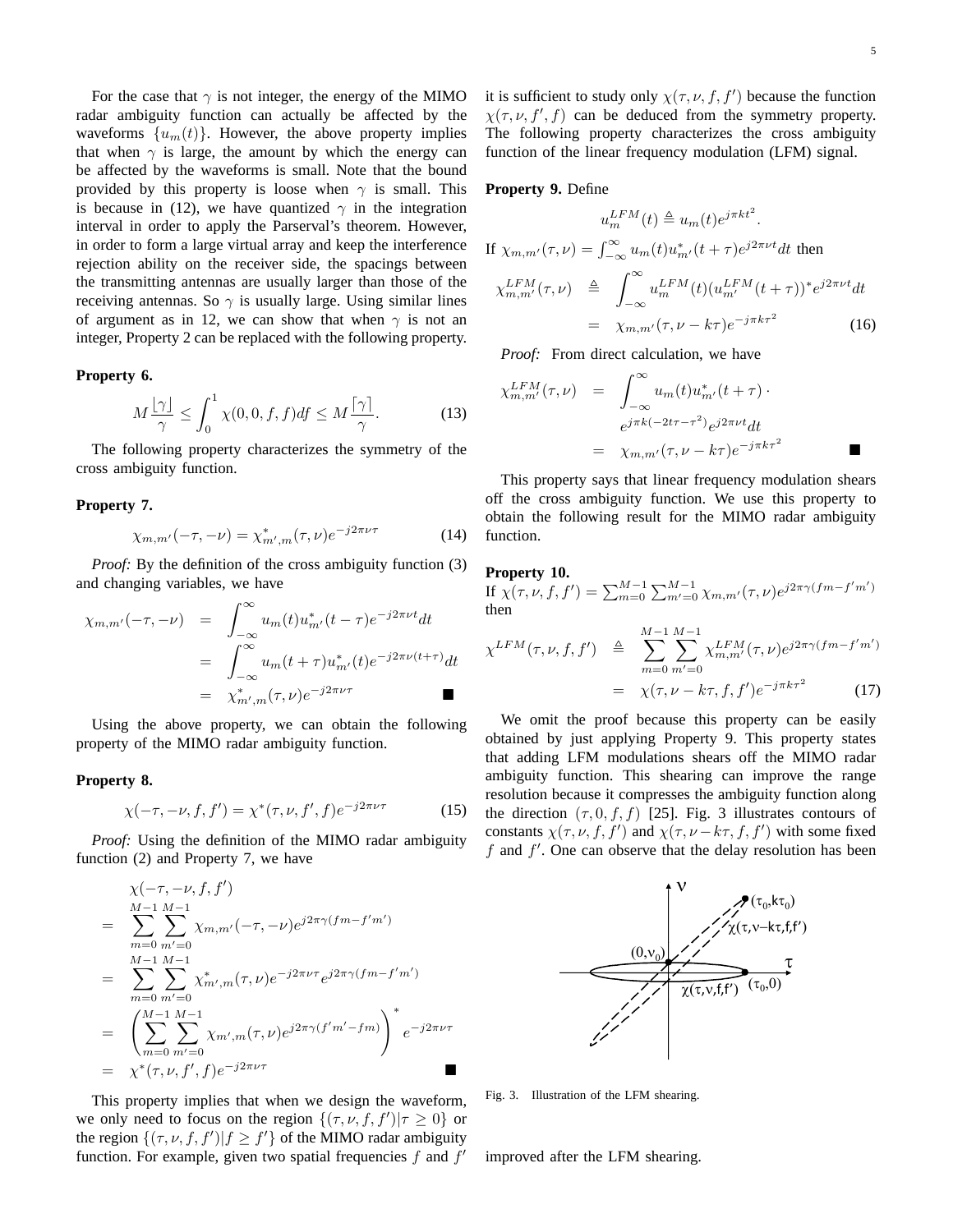For the case that  $\gamma$  is not integer, the energy of the MIMO radar ambiguity function can actually be affected by the waveforms  $\{u_m(t)\}\$ . However, the above property implies that when  $\gamma$  is large, the amount by which the energy can be affected by the waveforms is small. Note that the bound provided by this property is loose when  $\gamma$  is small. This is because in (12), we have quantized  $\gamma$  in the integration interval in order to apply the Parserval's theorem. However, in order to form a large virtual array and keep the interference rejection ability on the receiver side, the spacings between the transmitting antennas are usually larger than those of the receiving antennas. So  $\gamma$  is usually large. Using similar lines of argument as in 12, we can show that when  $\gamma$  is not an integer, Property 2 can be replaced with the following property.

# **Property 6.**

$$
M\frac{\lfloor \gamma \rfloor}{\gamma} \le \int_0^1 \chi(0,0,f,f)df \le M\frac{\lceil \gamma \rceil}{\gamma}.
$$
 (13)

The following property characterizes the symmetry of the cross ambiguity function.

#### **Property 7.**

$$
\chi_{m,m'}(-\tau, -\nu) = \chi_{m',m}^*(\tau, \nu) e^{-j2\pi\nu\tau}
$$
 (14)

*Proof:* By the definition of the cross ambiguity function (3) and changing variables, we have

$$
\chi_{m,m'}(-\tau, -\nu) = \int_{-\infty}^{\infty} u_m(t) u_{m'}^*(t-\tau) e^{-j2\pi\nu t} dt
$$
  

$$
= \int_{-\infty}^{\infty} u_m(t+\tau) u_{m'}^*(t) e^{-j2\pi\nu(t+\tau)} dt
$$
  

$$
= \chi_{m',m}^*(\tau, \nu) e^{-j2\pi\nu\tau}
$$

Using the above property, we can obtain the following property of the MIMO radar ambiguity function.

# **Property 8.**

$$
\chi(-\tau, -\nu, f, f') = \chi^*(\tau, \nu, f', f)e^{-j2\pi\nu\tau}
$$
 (15)

*Proof:* Using the definition of the MIMO radar ambiguity function (2) and Property 7, we have

$$
\chi(-\tau, -\nu, f, f') \n= \sum_{m=0}^{M-1} \sum_{m'=0}^{M-1} \chi_{m,m'}(-\tau, -\nu) e^{j2\pi \gamma (fm - f'm')} \n= \sum_{m=0}^{M-1} \sum_{m'=0}^{M-1} \chi_{m',m}^*(\tau, \nu) e^{-j2\pi \nu \tau} e^{j2\pi \gamma (fm - f'm')} \n= \left( \sum_{m=0}^{M-1} \sum_{m'=0}^{M-1} \chi_{m',m}(\tau, \nu) e^{j2\pi \gamma (f'm' - fm)} \right)^* e^{-j2\pi \nu \tau} \n= \chi^*(\tau, \nu, f', f) e^{-j2\pi \nu \tau}
$$

This property implies that when we design the waveform, we only need to focus on the region  $\{(\tau, \nu, f, f') | \tau \geq 0\}$  or the region  $\{(\tau, \nu, f, f') | f \ge f'\}$  of the MIMO radar ambiguity function. For example, given two spatial frequencies  $f$  and  $f'$ 

it is sufficient to study only  $\chi(\tau, \nu, f, f')$  because the function  $\chi(\tau, \nu, f', f)$  can be deduced from the symmetry property. The following property characterizes the cross ambiguity function of the linear frequency modulation (LFM) signal.

# **Property 9.** Define

$$
u_m^{LFM}(t) \triangleq u_m(t)e^{j\pi kt^2}.
$$
  
If  $\chi_{m,m'}(\tau,\nu) = \int_{-\infty}^{\infty} u_m(t)u_{m'}^*(t+\tau)e^{j2\pi\nu t}dt$  then  

$$
\chi_{m,m'}^{LFM}(\tau,\nu) \triangleq \int_{-\infty}^{\infty} u_m^{LFM}(t)(u_{m'}^{LFM}(t+\tau))^*e^{j2\pi\nu t}dt
$$

$$
= \chi_{m,m'}(\tau,\nu-k\tau)e^{-j\pi k\tau^2}
$$
(16)

*Proof:* From direct calculation, we have

$$
\chi_{m,m'}^{LFM}(\tau,\nu) = \int_{-\infty}^{\infty} u_m(t) u_{m'}^*(t+\tau) \cdot
$$

$$
= e^{j\pi k(-2t\tau-\tau^2)} e^{j2\pi \nu t} dt
$$

$$
= \chi_{m,m'}(\tau,\nu-k\tau) e^{-j\pi k\tau^2}
$$

This property says that linear frequency modulation shears off the cross ambiguity function. We use this property to obtain the following result for the MIMO radar ambiguity function.

#### **Property 10.**

If  $\chi(\tau,\nu,f,f') = \sum_{m=0}^{M-1} \sum_{m'=0}^{M-1} \chi_{m,m'}(\tau,\nu) e^{j2\pi \gamma (fm - f'm')}$ then

$$
\chi^{LFM}(\tau, \nu, f, f') \triangleq \sum_{m=0}^{M-1} \sum_{m'=0}^{M-1} \chi_{m,m'}^{LFM}(\tau, \nu) e^{j2\pi \gamma (fm - f'm')}
$$

$$
= \chi(\tau, \nu - k\tau, f, f') e^{-j\pi k \tau^2}
$$
(17)

We omit the proof because this property can be easily obtained by just applying Property 9. This property states that adding LFM modulations shears off the MIMO radar ambiguity function. This shearing can improve the range resolution because it compresses the ambiguity function along the direction  $(\tau, 0, f, f)$  [25]. Fig. 3 illustrates contours of constants  $\chi(\tau, \nu, f, f')$  and  $\chi(\tau, \nu - k\tau, f, f')$  with some fixed  $f$  and  $f'$ . One can observe that the delay resolution has been



Fig. 3. Illustration of the LFM shearing.

improved after the LFM shearing.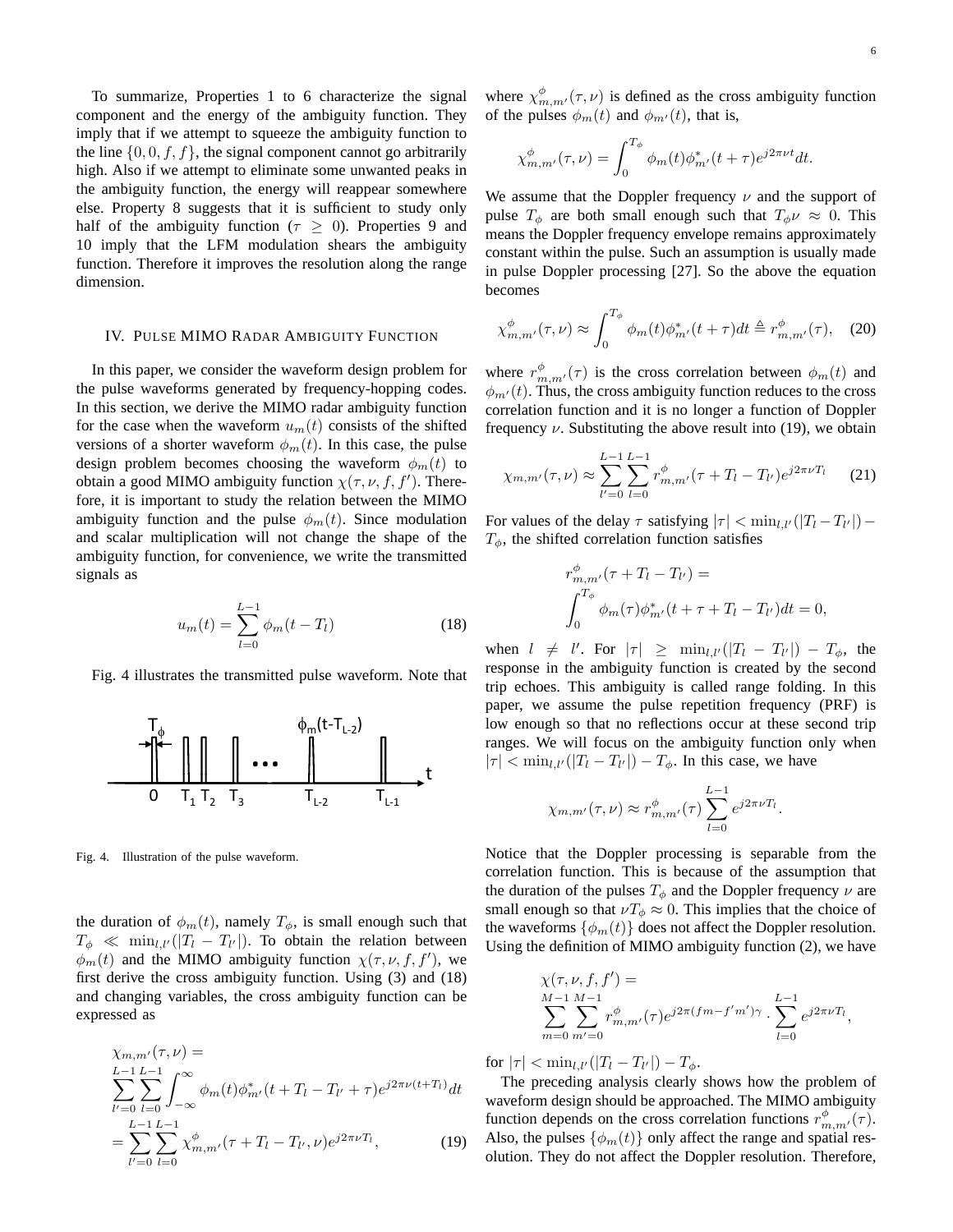To summarize, Properties 1 to 6 characterize the signal component and the energy of the ambiguity function. They imply that if we attempt to squeeze the ambiguity function to the line  $\{0, 0, f, f\}$ , the signal component cannot go arbitrarily high. Also if we attempt to eliminate some unwanted peaks in the ambiguity function, the energy will reappear somewhere else. Property 8 suggests that it is sufficient to study only half of the ambiguity function ( $\tau \geq 0$ ). Properties 9 and 10 imply that the LFM modulation shears the ambiguity function. Therefore it improves the resolution along the range dimension.

#### IV. PULSE MIMO RADAR AMBIGUITY FUNCTION

In this paper, we consider the waveform design problem for the pulse waveforms generated by frequency-hopping codes. In this section, we derive the MIMO radar ambiguity function for the case when the waveform  $u_m(t)$  consists of the shifted versions of a shorter waveform  $\phi_m(t)$ . In this case, the pulse design problem becomes choosing the waveform  $\phi_m(t)$  to obtain a good MIMO ambiguity function  $\chi(\tau, \nu, f, f')$ . Therefore, it is important to study the relation between the MIMO ambiguity function and the pulse  $\phi_m(t)$ . Since modulation and scalar multiplication will not change the shape of the ambiguity function, for convenience, we write the transmitted signals as

$$
u_m(t) = \sum_{l=0}^{L-1} \phi_m(t - T_l)
$$
 (18)

Fig. 4 illustrates the transmitted pulse waveform. Note that



Fig. 4. Illustration of the pulse waveform.

the duration of  $\phi_m(t)$ , namely  $T_\phi$ , is small enough such that  $T_{\phi} \ll \min_{l,l'}(|T_l - T_{l'}|)$ . To obtain the relation between  $\phi_m(t)$  and the MIMO ambiguity function  $\chi(\tau,\nu,f,f')$ , we first derive the cross ambiguity function. Using (3) and (18) and changing variables, the cross ambiguity function can be expressed as

$$
\chi_{m,m'}(\tau,\nu) =
$$
\n
$$
\sum_{l'=0}^{L-1} \sum_{l=0}^{L-1} \int_{-\infty}^{\infty} \phi_m(t) \phi_{m'}^*(t+T_l - T_{l'} + \tau) e^{j2\pi \nu (t+T_l)} dt
$$
\n
$$
= \sum_{l'=0}^{L-1} \sum_{l=0}^{L-1} \chi_{m,m'}^{\phi} (\tau + T_l - T_{l'}, \nu) e^{j2\pi \nu T_l},
$$
\n(19)

where  $\chi^{\phi}_{m,m'}(\tau,\nu)$  is defined as the cross ambiguity function of the pulses  $\phi_m(t)$  and  $\phi_{m'}(t)$ , that is,

$$
\chi_{m,m'}^{\phi}(\tau,\nu) = \int_0^{T_{\phi}} \phi_m(t) \phi_{m'}^*(t+\tau) e^{j2\pi\nu t} dt.
$$

We assume that the Doppler frequency  $\nu$  and the support of pulse  $T_{\phi}$  are both small enough such that  $T_{\phi} \nu \approx 0$ . This means the Doppler frequency envelope remains approximately constant within the pulse. Such an assumption is usually made in pulse Doppler processing [27]. So the above the equation becomes

$$
\chi_{m,m'}^{\phi}(\tau,\nu) \approx \int_0^{T_{\phi}} \phi_m(t) \phi_{m'}^*(t+\tau) dt \triangleq r_{m,m'}^{\phi}(\tau), \quad (20)
$$

where  $r^{\phi}_{m,m'}(\tau)$  is the cross correlation between  $\phi_m(t)$  and  $\phi_{m'}(t)$ . Thus, the cross ambiguity function reduces to the cross correlation function and it is no longer a function of Doppler frequency  $\nu$ . Substituting the above result into (19), we obtain

$$
\chi_{m,m'}(\tau,\nu) \approx \sum_{l'=0}^{L-1} \sum_{l=0}^{L-1} r_{m,m'}^{\phi} (\tau + T_l - T_{l'}) e^{j2\pi\nu T_l}
$$
 (21)

For values of the delay  $\tau$  satisfying  $|\tau| < \min_{l,l'}(|T_l - T_{l'}|) T_{\phi}$ , the shifted correlation function satisfies

$$
r_{m,m'}^{\phi}(\tau + T_l - T_{l'}) =
$$
  

$$
\int_0^{T_{\phi}} \phi_m(\tau) \phi_{m'}^*(t + \tau + T_l - T_{l'}) dt = 0,
$$

when  $l \neq l'$ . For  $|\tau| \geq \min_{l,l'}(|T_l - T_{l'}|) - T_{\phi}$ , the response in the ambiguity function is created by the second trip echoes. This ambiguity is called range folding. In this paper, we assume the pulse repetition frequency (PRF) is low enough so that no reflections occur at these second trip ranges. We will focus on the ambiguity function only when  $|\tau| < \min_{l,l'}(|T_l - T_{l'}|) - T_{\phi}$ . In this case, we have

$$
\chi_{m,m'}(\tau,\nu) \approx r_{m,m'}^{\phi}(\tau) \sum_{l=0}^{L-1} e^{j2\pi\nu T_l}.
$$

Notice that the Doppler processing is separable from the correlation function. This is because of the assumption that the duration of the pulses  $T_{\phi}$  and the Doppler frequency  $\nu$  are small enough so that  $\nu T_{\phi} \approx 0$ . This implies that the choice of the waveforms  $\{\phi_m(t)\}\)$  does not affect the Doppler resolution. Using the definition of MIMO ambiguity function (2), we have

$$
\chi(\tau, \nu, f, f') =
$$
  
\n
$$
\sum_{m=0}^{M-1} \sum_{m'=0}^{M-1} r_{m,m'}^{\phi}(\tau) e^{j2\pi (fm - f'm')\gamma} \cdot \sum_{l=0}^{L-1} e^{j2\pi \nu T_l},
$$

for  $|\tau| < \min_{l,l'}(|T_l - T_{l'}|) - T_{\phi}$ .

The preceding analysis clearly shows how the problem of waveform design should be approached. The MIMO ambiguity function depends on the cross correlation functions  $r^{\phi}_{m,m'}(\tau)$ . Also, the pulses  $\{\phi_m(t)\}\$  only affect the range and spatial resolution. They do not affect the Doppler resolution. Therefore,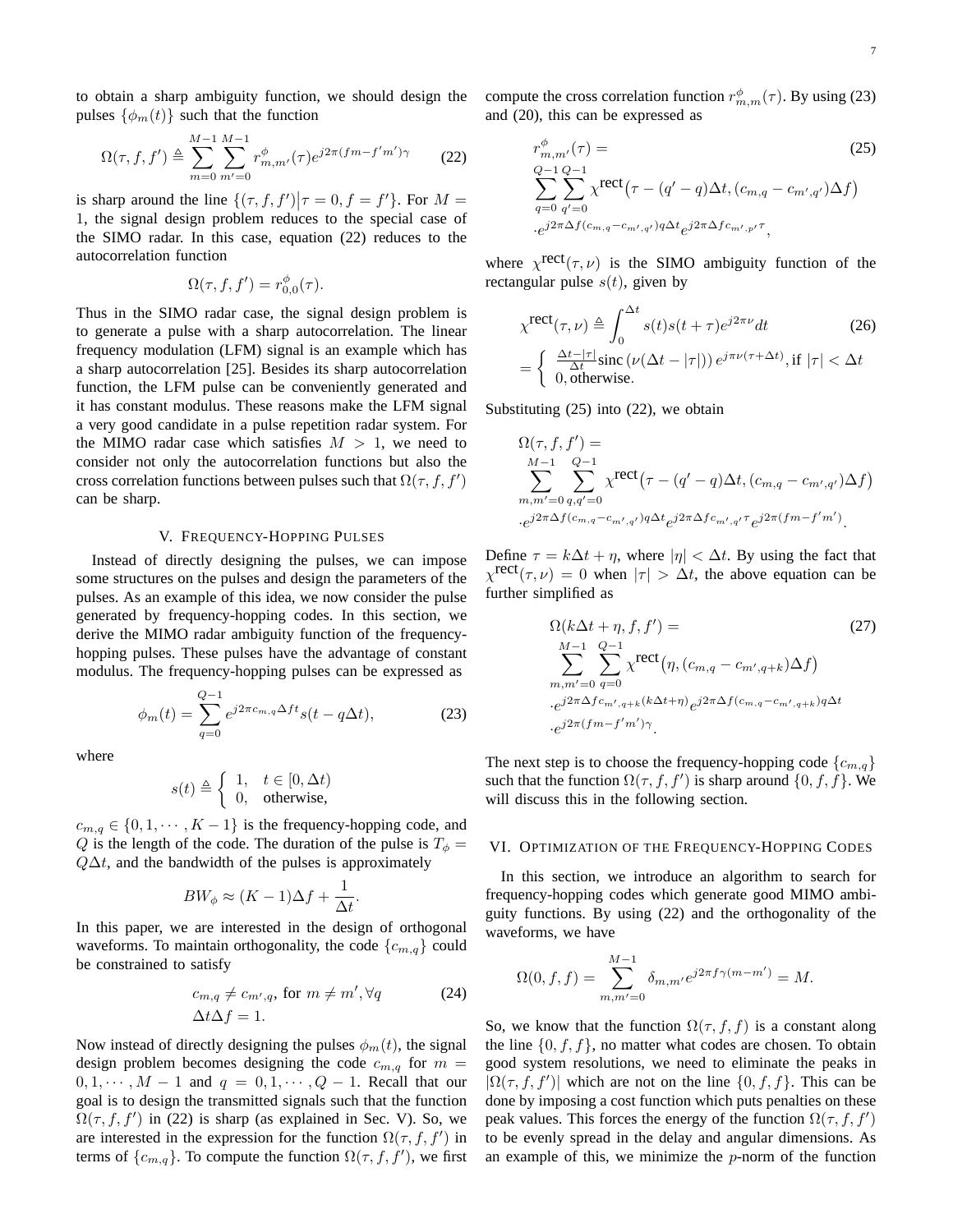to obtain a sharp ambiguity function, we should design the pulses  $\{\phi_m(t)\}\$  such that the function

$$
\Omega(\tau, f, f') \triangleq \sum_{m=0}^{M-1} \sum_{m'=0}^{M-1} r_{m,m'}^{\phi}(\tau) e^{j2\pi (fm - f'm')\gamma} \tag{22}
$$

is sharp around the line  $\{( \tau, f, f') | \tau = 0, f = f' \}$ . For  $M =$ 1, the signal design problem reduces to the special case of the SIMO radar. In this case, equation (22) reduces to the autocorrelation function

$$
\Omega(\tau, f, f') = r_{0,0}^{\phi}(\tau).
$$

Thus in the SIMO radar case, the signal design problem is to generate a pulse with a sharp autocorrelation. The linear frequency modulation (LFM) signal is an example which has a sharp autocorrelation [25]. Besides its sharp autocorrelation function, the LFM pulse can be conveniently generated and it has constant modulus. These reasons make the LFM signal a very good candidate in a pulse repetition radar system. For the MIMO radar case which satisfies  $M > 1$ , we need to consider not only the autocorrelation functions but also the cross correlation functions between pulses such that  $\Omega(\tau, f, f')$ can be sharp.

#### V. FREQUENCY-HOPPING PULSES

Instead of directly designing the pulses, we can impose some structures on the pulses and design the parameters of the pulses. As an example of this idea, we now consider the pulse generated by frequency-hopping codes. In this section, we derive the MIMO radar ambiguity function of the frequencyhopping pulses. These pulses have the advantage of constant modulus. The frequency-hopping pulses can be expressed as

$$
\phi_m(t) = \sum_{q=0}^{Q-1} e^{j2\pi c_{m,q}\Delta ft} s(t - q\Delta t),
$$
 (23)

where

$$
s(t) \triangleq \begin{cases} 1, & t \in [0, \Delta t) \\ 0, & \text{otherwise,} \end{cases}
$$

 $c_{m,q} \in \{0, 1, \dots, K-1\}$  is the frequency-hopping code, and Q is the length of the code. The duration of the pulse is  $T_{\phi} =$  $Q\Delta t$ , and the bandwidth of the pulses is approximately

$$
BW_{\phi} \approx (K-1)\Delta f + \frac{1}{\Delta t}.
$$

In this paper, we are interested in the design of orthogonal waveforms. To maintain orthogonality, the code  $\{c_{m,q}\}\$ could be constrained to satisfy

$$
c_{m,q} \neq c_{m',q}, \text{ for } m \neq m', \forall q \tag{24}
$$

$$
\Delta t \Delta f = 1.
$$

Now instead of directly designing the pulses  $\phi_m(t)$ , the signal design problem becomes designing the code  $c_{m,q}$  for  $m =$  $0, 1, \dots, M - 1$  and  $q = 0, 1, \dots, Q - 1$ . Recall that our goal is to design the transmitted signals such that the function  $\Omega(\tau, f, f')$  in (22) is sharp (as explained in Sec. V). So, we are interested in the expression for the function  $\Omega(\tau, f, f')$  in terms of  $\{c_{m,q}\}\$ . To compute the function  $\Omega(\tau, f, f')$ , we first compute the cross correlation function  $r^{\phi}_{m,m}(\tau)$ . By using (23) and (20), this can be expressed as

$$
r_{m,m'}^{\phi}(\tau) =
$$
\n
$$
Q_{-1} Q_{-1}
$$
\n
$$
\sum_{q=0}^{Q-1} \sum_{q'=0}^{Q-1} \chi^{\text{rect}}(\tau - (q'-q)\Delta t, (c_{m,q} - c_{m',q'})\Delta f)
$$
\n
$$
\sum_{q=0}^{Q-2} \sum_{q'=\Delta f(c_{m,q} - c_{m',q'}) q \Delta t} e^{j2\pi \Delta f c_{m',p'} \tau},
$$
\n(25)

where  $\chi^{rect}(\tau,\nu)$  is the SIMO ambiguity function of the rectangular pulse  $s(t)$ , given by

$$
\chi^{\text{rect}}(\tau,\nu) \triangleq \int_0^{\Delta t} s(t)s(t+\tau)e^{j2\pi\nu}dt
$$
\n
$$
= \begin{cases}\n\frac{\Delta t - |\tau|}{\Delta t} \operatorname{sinc}(\nu(\Delta t - |\tau|)) e^{j\pi\nu(\tau + \Delta t)}, \text{if } |\tau| < \Delta t \\
0, \text{otherwise.} \n\end{cases}
$$
\n(26)

Substituting (25) into (22), we obtain

$$
\Omega(\tau, f, f') =
$$
\n
$$
\sum_{m,m'=0}^{M-1} \sum_{q,q'=0}^{Q-1} \chi^{\text{rect}}(\tau - (q'-q)\Delta t, (c_{m,q} - c_{m',q'})\Delta f)
$$
\n
$$
\sum_{e^{j2\pi} \Delta f(c_{m,q} - c_{m',q'})q\Delta t} e^{j2\pi \Delta f c_{m',q'}\tau} e^{j2\pi (fm - f'm')}.
$$

Define  $\tau = k\Delta t + \eta$ , where  $|\eta| < \Delta t$ . By using the fact that  $\chi^{\text{rect}}(\tau,\nu)=0$  when  $|\tau| > \Delta t$ , the above equation can be further simplified as

$$
\Omega(k\Delta t + \eta, f, f') = \qquad (27)
$$
\n
$$
\sum_{m,m'=0}^{M-1} \sum_{q=0}^{Q-1} \chi^{\text{rect}}(\eta, (c_{m,q} - c_{m',q+k})\Delta f)
$$
\n
$$
\sum_{e^{j2\pi\Delta f c_{m',q+k}(k\Delta t + \eta)} e^{j2\pi\Delta f (c_{m,q} - c_{m',q+k})q\Delta t}
$$
\n
$$
\cdot e^{j2\pi (fm - f'm')\gamma}.
$$

The next step is to choose the frequency-hopping code  $\{c_{m,q}\}$ such that the function  $\Omega(\tau, f, f')$  is sharp around  $\{0, f, f\}$ . We will discuss this in the following section.

# VI. OPTIMIZATION OF THE FREQUENCY-HOPPING CODES

In this section, we introduce an algorithm to search for frequency-hopping codes which generate good MIMO ambiguity functions. By using (22) and the orthogonality of the waveforms, we have

$$
\Omega(0, f, f) = \sum_{m,m'=0}^{M-1} \delta_{m,m'} e^{j2\pi f \gamma (m-m')} = M.
$$

So, we know that the function  $\Omega(\tau, f, f)$  is a constant along the line  $\{0, f, f\}$ , no matter what codes are chosen. To obtain good system resolutions, we need to eliminate the peaks in  $|\Omega(\tau, f, f')|$  which are not on the line  $\{0, f, f\}$ . This can be done by imposing a cost function which puts penalties on these peak values. This forces the energy of the function  $\Omega(\tau, f, f')$ to be evenly spread in the delay and angular dimensions. As an example of this, we minimize the  $p$ -norm of the function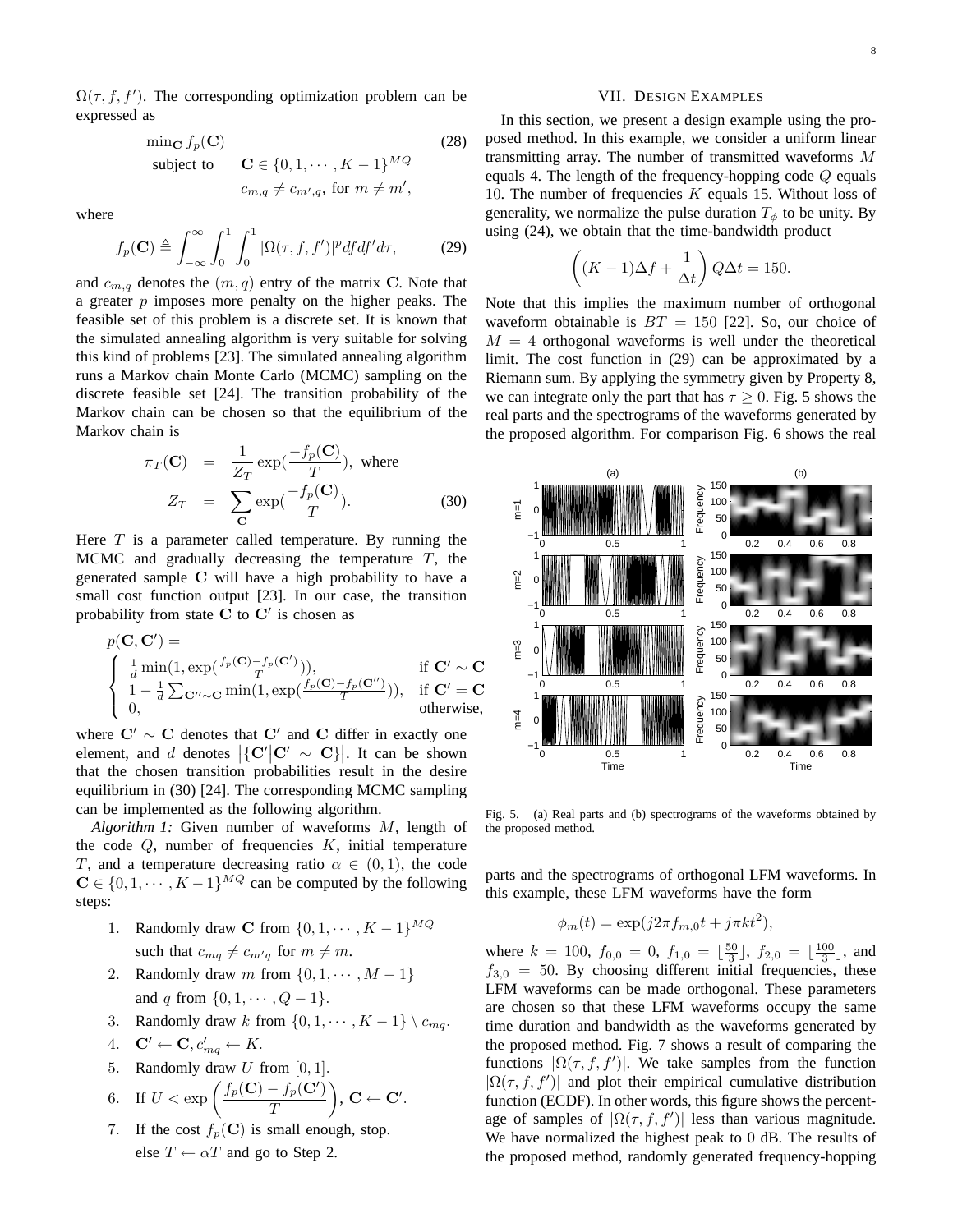$\Omega(\tau, f, f')$ . The corresponding optimization problem can be expressed as

$$
\begin{aligned}\n\min_{\mathbf{C}} f_p(\mathbf{C}) & \text{(28)} \\
\text{subject to} & \mathbf{C} \in \{0, 1, \cdots, K - 1\}^{MQ} \\
& c_{m,q} \neq c_{m',q}, \text{ for } m \neq m',\n\end{aligned}
$$

where

$$
f_p(\mathbf{C}) \triangleq \int_{-\infty}^{\infty} \int_0^1 \int_0^1 |\Omega(\tau, f, f')|^p df df' d\tau, \tag{29}
$$

and  $c_{m,q}$  denotes the  $(m, q)$  entry of the matrix **C**. Note that a greater  $p$  imposes more penalty on the higher peaks. The feasible set of this problem is a discrete set. It is known that the simulated annealing algorithm is very suitable for solving this kind of problems [23]. The simulated annealing algorithm runs a Markov chain Monte Carlo (MCMC) sampling on the discrete feasible set [24]. The transition probability of the Markov chain can be chosen so that the equilibrium of the Markov chain is

$$
\pi_T(\mathbf{C}) = \frac{1}{Z_T} \exp(\frac{-f_p(\mathbf{C})}{T}), \text{ where}
$$
\n
$$
Z_T = \sum_{\mathbf{C}} \exp(\frac{-f_p(\mathbf{C})}{T}). \tag{30}
$$

Here  $T$  is a parameter called temperature. By running the MCMC and gradually decreasing the temperature  $T$ , the generated sample **C** will have a high probability to have a small cost function output [23]. In our case, the transition probability from state  $C$  to  $C'$  is chosen as

$$
p(\mathbf{C}, \mathbf{C}') = \begin{cases} \frac{1}{d} \min(1, \exp(\frac{f_p(\mathbf{C}) - f_p(\mathbf{C}')}{T})), & \text{if } \mathbf{C}' \sim \mathbf{C} \\ 1 - \frac{1}{d} \sum_{\mathbf{C}'' \sim \mathbf{C}} \min(1, \exp(\frac{f_p(\mathbf{C}) - f_p(\mathbf{C}''))}{T})), & \text{if } \mathbf{C}' = \mathbf{C} \\ 0, & \text{otherwise,} \end{cases}
$$

where  $C' \sim C$  denotes that  $C'$  and C differ in exactly one element, and d denotes  $|\{C'|C' \sim C\}|$ . It can be shown that the chosen transition probabilities result in the desire equilibrium in (30) [24]. The corresponding MCMC sampling can be implemented as the following algorithm.

*Algorithm 1:* Given number of waveforms M, length of the code  $Q$ , number of frequencies  $K$ , initial temperature T, and a temperature decreasing ratio  $\alpha \in (0,1)$ , the code  $\mathbf{C} \in \{0, 1, \dots, K-1\}^{\overline{MQ}}$  can be computed by the following steps:

- 1. Randomly draw **C** from  $\{0, 1, \dots, K-1\}^{MQ}$ such that  $c_{mq} \neq c_{m'q}$  for  $m \neq m$ .
- 2. Randomly draw m from  $\{0, 1, \dots, M-1\}$ and q from  $\{0, 1, \dots, Q - 1\}.$
- Randomly draw k from  $\{0, 1, \cdots, K 1\} \setminus c_{mq}$ .
- 4.  $\mathbf{C}' \leftarrow \mathbf{C}, c'_{ma} \leftarrow K.$
- 5. Randomly draw  $U$  from  $[0, 1]$ .

6. If 
$$
U < \exp\left(\frac{f_p(\mathbf{C}) - f_p(\mathbf{C}^\prime)}{T}\right)
$$
,  $\mathbf{C} \leftarrow \mathbf{C}^\prime$ .

7. If the cost  $f_p(C)$  is small enough, stop. else  $T \leftarrow \alpha T$  and go to Step 2.

# VII. DESIGN EXAMPLES

In this section, we present a design example using the proposed method. In this example, we consider a uniform linear transmitting array. The number of transmitted waveforms M equals 4. The length of the frequency-hopping code  $Q$  equals 10. The number of frequencies  $K$  equals 15. Without loss of generality, we normalize the pulse duration  $T_{\phi}$  to be unity. By using (24), we obtain that the time-bandwidth product

$$
\left((K-1)\Delta f + \frac{1}{\Delta t}\right)Q\Delta t = 150.
$$

Note that this implies the maximum number of orthogonal waveform obtainable is  $BT = 150$  [22]. So, our choice of  $M = 4$  orthogonal waveforms is well under the theoretical limit. The cost function in (29) can be approximated by a Riemann sum. By applying the symmetry given by Property 8, we can integrate only the part that has  $\tau \geq 0$ . Fig. 5 shows the real parts and the spectrograms of the waveforms generated by the proposed algorithm. For comparison Fig. 6 shows the real



Fig. 5. (a) Real parts and (b) spectrograms of the waveforms obtained by the proposed method.

parts and the spectrograms of orthogonal LFM waveforms. In this example, these LFM waveforms have the form

$$
\phi_m(t) = \exp(j2\pi f_{m,0}t + j\pi kt^2),
$$

where  $k = 100$ ,  $f_{0,0} = 0$ ,  $f_{1,0} = \lfloor \frac{50}{3} \rfloor$ ,  $f_{2,0} = \lfloor \frac{100}{3} \rfloor$ , and  $f_{3,0} = 50$ . By choosing different initial frequencies, these LFM waveforms can be made orthogonal. These parameters are chosen so that these LFM waveforms occupy the same time duration and bandwidth as the waveforms generated by the proposed method. Fig. 7 shows a result of comparing the functions  $|\Omega(\tau, f, f')|$ . We take samples from the function  $|\Omega(\tau, f, f')|$  and plot their empirical cumulative distribution function (ECDF). In other words, this figure shows the percentage of samples of  $|\Omega(\tau, f, f')|$  less than various magnitude. We have normalized the highest peak to 0 dB. The results of the proposed method, randomly generated frequency-hopping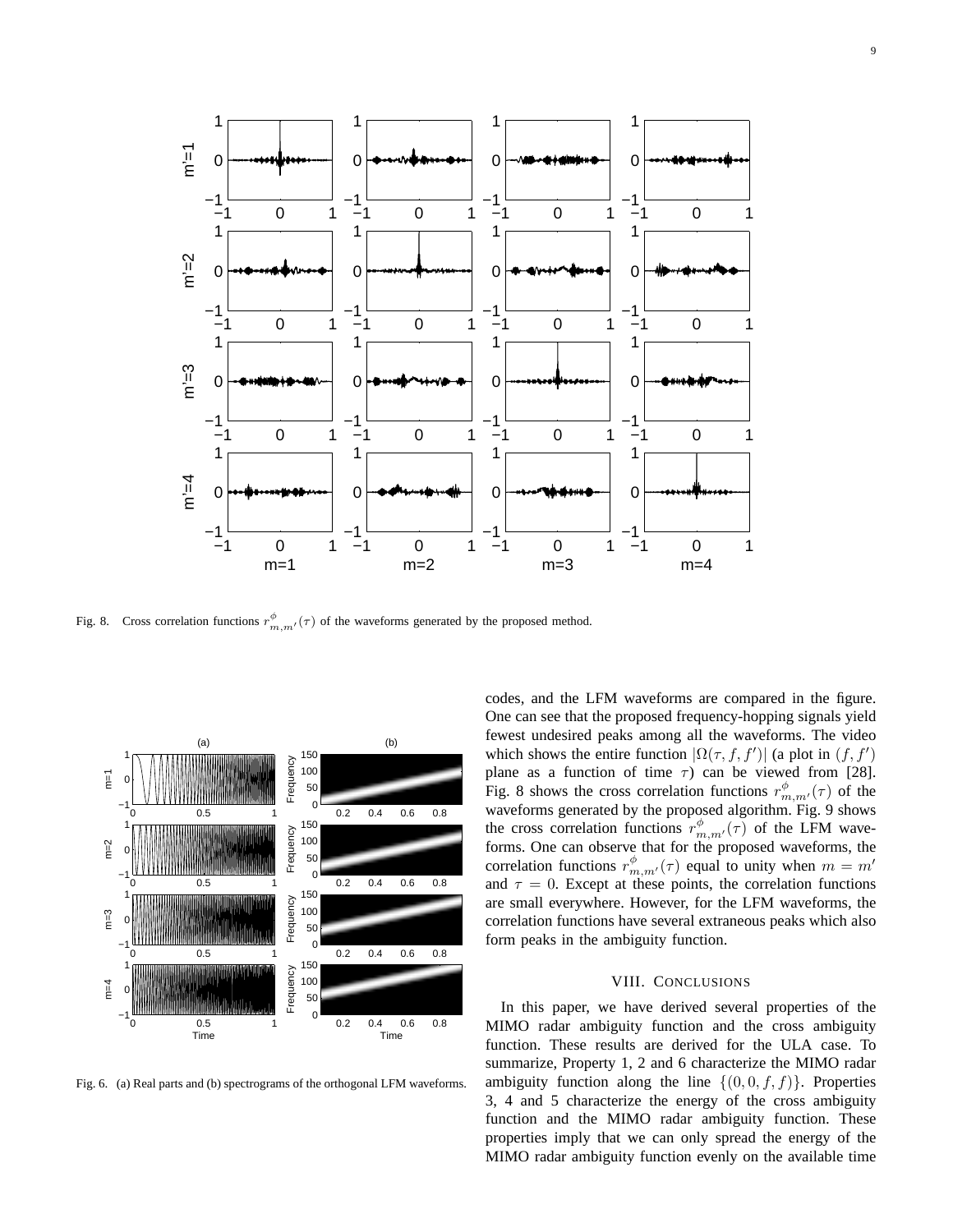

Fig. 8. Cross correlation functions  $r_{m,m'}^{\phi}(\tau)$  of the waveforms generated by the proposed method.



Fig. 6. (a) Real parts and (b) spectrograms of the orthogonal LFM waveforms.

codes, and the LFM waveforms are compared in the figure. One can see that the proposed frequency-hopping signals yield fewest undesired peaks among all the waveforms. The video which shows the entire function  $|\Omega(\tau, f, f')|$  (a plot in  $(f, f')$ ) plane as a function of time  $\tau$ ) can be viewed from [28]. Fig. 8 shows the cross correlation functions  $r^{\phi}_{m,m'}(\tau)$  of the waveforms generated by the proposed algorithm. Fig. 9 shows the cross correlation functions  $r^{\phi}_{m,m'}(\tau)$  of the LFM waveforms. One can observe that for the proposed waveforms, the correlation functions  $r_{m,m'}^{\phi}(\tau)$  equal to unity when  $m = m'$ and  $\tau = 0$ . Except at these points, the correlation functions are small everywhere. However, for the LFM waveforms, the correlation functions have several extraneous peaks which also form peaks in the ambiguity function.

#### VIII. CONCLUSIONS

In this paper, we have derived several properties of the MIMO radar ambiguity function and the cross ambiguity function. These results are derived for the ULA case. To summarize, Property 1, 2 and 6 characterize the MIMO radar ambiguity function along the line  $\{(0,0,f,f)\}\)$ . Properties 3, 4 and 5 characterize the energy of the cross ambiguity function and the MIMO radar ambiguity function. These properties imply that we can only spread the energy of the MIMO radar ambiguity function evenly on the available time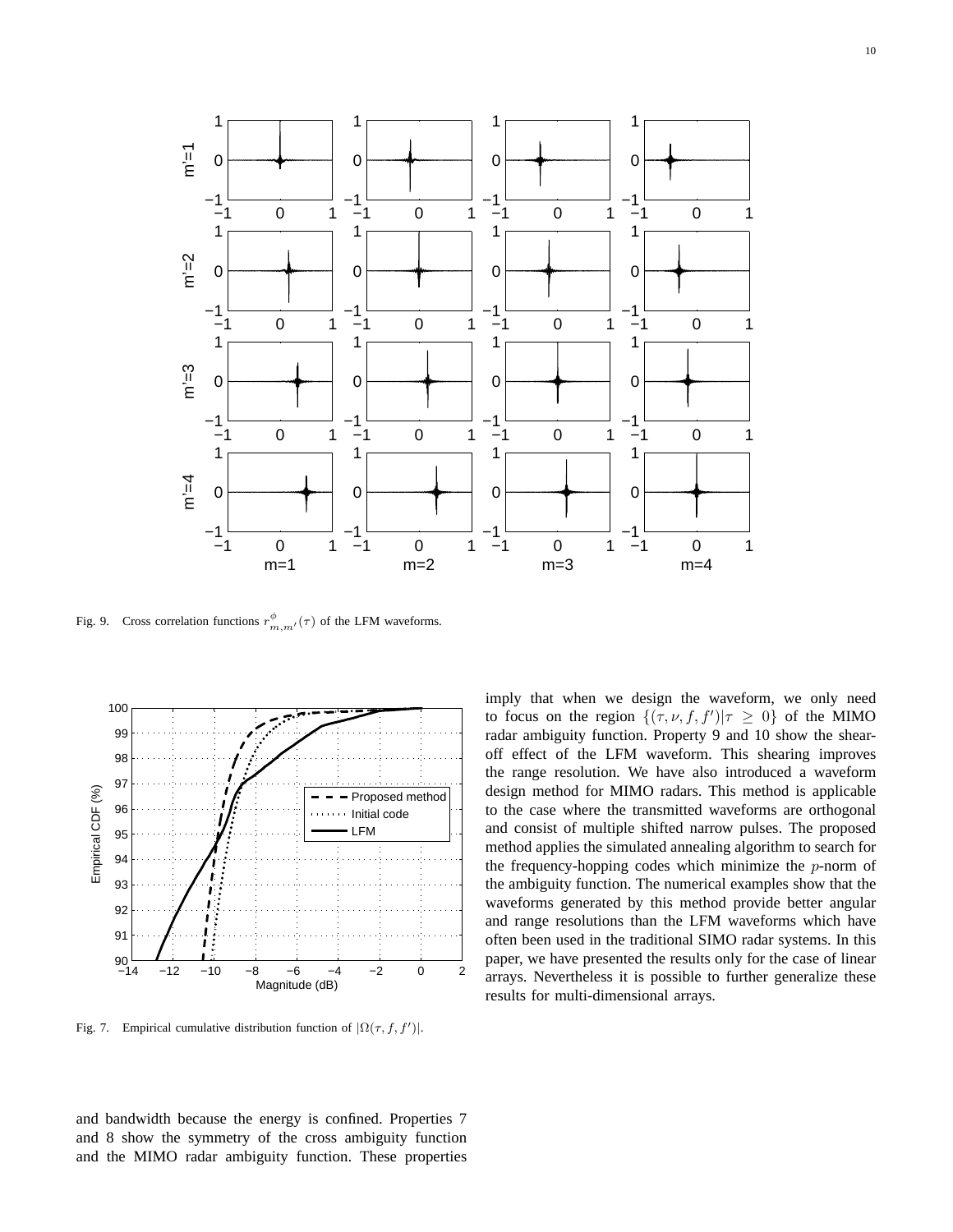

Fig. 9. Cross correlation functions  $r^{\phi}_{m,m'}(\tau)$  of the LFM waveforms.



Fig. 7. Empirical cumulative distribution function of  $|\Omega(\tau, f, f')|$ .

and bandwidth because the energy is confined. Properties 7 and 8 show the symmetry of the cross ambiguity function and the MIMO radar ambiguity function. These properties

imply that when we design the waveform, we only need to focus on the region  ${(\tau, \nu, f, f')|\tau \geq 0}$  of the MIMO radar ambiguity function. Property 9 and 10 show the shearoff effect of the LFM waveform. This shearing improves the range resolution. We have also introduced a waveform design method for MIMO radars. This method is applicable to the case where the transmitted waveforms are orthogonal and consist of multiple shifted narrow pulses. The proposed method applies the simulated annealing algorithm to search for the frequency-hopping codes which minimize the  $p$ -norm of the ambiguity function. The numerical examples show that the waveforms generated by this method provide better angular and range resolutions than the LFM waveforms which have often been used in the traditional SIMO radar systems. In this paper, we have presented the results only for the case of linear arrays. Nevertheless it is possible to further generalize these results for multi-dimensional arrays.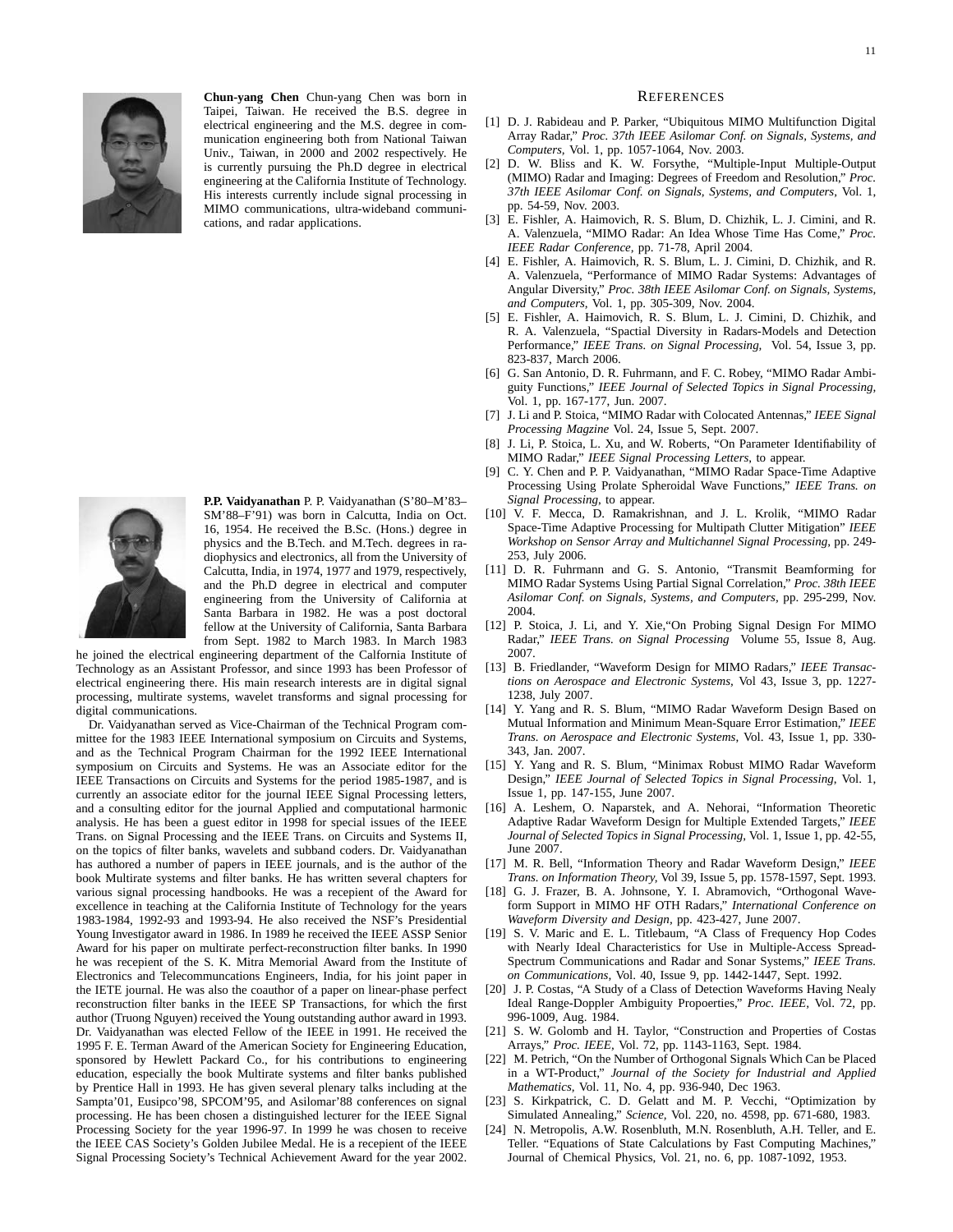

**Chun-yang Chen** Chun-yang Chen was born in Taipei, Taiwan. He received the B.S. degree in electrical engineering and the M.S. degree in communication engineering both from National Taiwan Univ., Taiwan, in 2000 and 2002 respectively. He is currently pursuing the Ph.D degree in electrical engineering at the California Institute of Technology. His interests currently include signal processing in MIMO communications, ultra-wideband communications, and radar applications.



**P.P. Vaidyanathan** P. P. Vaidyanathan (S'80–M'83– SM'88–F'91) was born in Calcutta, India on Oct. 16, 1954. He received the B.Sc. (Hons.) degree in physics and the B.Tech. and M.Tech. degrees in radiophysics and electronics, all from the University of Calcutta, India, in 1974, 1977 and 1979, respectively, and the Ph.D degree in electrical and computer engineering from the University of California at Santa Barbara in 1982. He was a post doctoral fellow at the University of California, Santa Barbara from Sept. 1982 to March 1983. In March 1983

he joined the electrical engineering department of the Calfornia Institute of Technology as an Assistant Professor, and since 1993 has been Professor of electrical engineering there. His main research interests are in digital signal processing, multirate systems, wavelet transforms and signal processing for digital communications.

Dr. Vaidyanathan served as Vice-Chairman of the Technical Program committee for the 1983 IEEE International symposium on Circuits and Systems, and as the Technical Program Chairman for the 1992 IEEE International symposium on Circuits and Systems. He was an Associate editor for the IEEE Transactions on Circuits and Systems for the period 1985-1987, and is currently an associate editor for the journal IEEE Signal Processing letters, and a consulting editor for the journal Applied and computational harmonic analysis. He has been a guest editor in 1998 for special issues of the IEEE Trans. on Signal Processing and the IEEE Trans. on Circuits and Systems II, on the topics of filter banks, wavelets and subband coders. Dr. Vaidyanathan has authored a number of papers in IEEE journals, and is the author of the book Multirate systems and filter banks. He has written several chapters for various signal processing handbooks. He was a recepient of the Award for excellence in teaching at the California Institute of Technology for the years 1983-1984, 1992-93 and 1993-94. He also received the NSF's Presidential Young Investigator award in 1986. In 1989 he received the IEEE ASSP Senior Award for his paper on multirate perfect-reconstruction filter banks. In 1990 he was recepient of the S. K. Mitra Memorial Award from the Institute of Electronics and Telecommuncations Engineers, India, for his joint paper in the IETE journal. He was also the coauthor of a paper on linear-phase perfect reconstruction filter banks in the IEEE SP Transactions, for which the first author (Truong Nguyen) received the Young outstanding author award in 1993. Dr. Vaidyanathan was elected Fellow of the IEEE in 1991. He received the 1995 F. E. Terman Award of the American Society for Engineering Education, sponsored by Hewlett Packard Co., for his contributions to engineering education, especially the book Multirate systems and filter banks published by Prentice Hall in 1993. He has given several plenary talks including at the Sampta'01, Eusipco'98, SPCOM'95, and Asilomar'88 conferences on signal processing. He has been chosen a distinguished lecturer for the IEEE Signal Processing Society for the year 1996-97. In 1999 he was chosen to receive the IEEE CAS Society's Golden Jubilee Medal. He is a recepient of the IEEE Signal Processing Society's Technical Achievement Award for the year 2002.

#### **REFERENCES**

- [1] D. J. Rabideau and P. Parker, "Ubiquitous MIMO Multifunction Digital Array Radar," *Proc. 37th IEEE Asilomar Conf. on Signals, Systems, and Computers,* Vol. 1, pp. 1057-1064, Nov. 2003.
- [2] D. W. Bliss and K. W. Forsythe, "Multiple-Input Multiple-Output (MIMO) Radar and Imaging: Degrees of Freedom and Resolution," *Proc. 37th IEEE Asilomar Conf. on Signals, Systems, and Computers,* Vol. 1, pp. 54-59, Nov. 2003.
- [3] E. Fishler, A. Haimovich, R. S. Blum, D. Chizhik, L. J. Cimini, and R. A. Valenzuela, "MIMO Radar: An Idea Whose Time Has Come," *Proc. IEEE Radar Conference,* pp. 71-78, April 2004.
- [4] E. Fishler, A. Haimovich, R. S. Blum, L. J. Cimini, D. Chizhik, and R. A. Valenzuela, "Performance of MIMO Radar Systems: Advantages of Angular Diversity," *Proc. 38th IEEE Asilomar Conf. on Signals, Systems, and Computers,* Vol. 1, pp. 305-309, Nov. 2004.
- [5] E. Fishler, A. Haimovich, R. S. Blum, L. J. Cimini, D. Chizhik, and R. A. Valenzuela, "Spactial Diversity in Radars-Models and Detection Performance," *IEEE Trans. on Signal Processing,* Vol. 54, Issue 3, pp. 823-837, March 2006.
- [6] G. San Antonio, D. R. Fuhrmann, and F. C. Robey, "MIMO Radar Ambiguity Functions," *IEEE Journal of Selected Topics in Signal Processing,* Vol. 1, pp. 167-177, Jun. 2007.
- [7] J. Li and P. Stoica, "MIMO Radar with Colocated Antennas," *IEEE Signal Processing Magzine* Vol. 24, Issue 5, Sept. 2007.
- [8] J. Li, P. Stoica, L. Xu, and W. Roberts, "On Parameter Identifiability of MIMO Radar," *IEEE Signal Processing Letters*, to appear.
- [9] C. Y. Chen and P. P. Vaidyanathan, "MIMO Radar Space-Time Adaptive Processing Using Prolate Spheroidal Wave Functions," *IEEE Trans. on Signal Processing*, to appear.
- [10] V. F. Mecca, D. Ramakrishnan, and J. L. Krolik, "MIMO Radar Space-Time Adaptive Processing for Multipath Clutter Mitigation" *IEEE Workshop on Sensor Array and Multichannel Signal Processing,* pp. 249- 253, July 2006.
- [11] D. R. Fuhrmann and G. S. Antonio, "Transmit Beamforming for MIMO Radar Systems Using Partial Signal Correlation," *Proc. 38th IEEE Asilomar Conf. on Signals, Systems, and Computers,* pp. 295-299, Nov. 2004.
- [12] P. Stoica, J. Li, and Y. Xie,"On Probing Signal Design For MIMO Radar," *IEEE Trans. on Signal Processing* Volume 55, Issue 8, Aug. 2007.
- [13] B. Friedlander, "Waveform Design for MIMO Radars," *IEEE Transactions on Aerospace and Electronic Systems,* Vol 43, Issue 3, pp. 1227- 1238, July 2007.
- [14] Y. Yang and R. S. Blum, "MIMO Radar Waveform Design Based on Mutual Information and Minimum Mean-Square Error Estimation," *IEEE Trans. on Aerospace and Electronic Systems*, Vol. 43, Issue 1, pp. 330- 343, Jan. 2007.
- [15] Y. Yang and R. S. Blum, "Minimax Robust MIMO Radar Waveform Design," *IEEE Journal of Selected Topics in Signal Processing*, Vol. 1, Issue 1, pp. 147-155, June 2007.
- [16] A. Leshem, O. Naparstek, and A. Nehorai, "Information Theoretic Adaptive Radar Waveform Design for Multiple Extended Targets," *IEEE Journal of Selected Topics in Signal Processing*, Vol. 1, Issue 1, pp. 42-55, June 2007.
- [17] M. R. Bell, "Information Theory and Radar Waveform Design," *IEEE Trans. on Information Theory,* Vol 39, Issue 5, pp. 1578-1597, Sept. 1993.
- [18] G. J. Frazer, B. A. Johnsone, Y. I. Abramovich, "Orthogonal Waveform Support in MIMO HF OTH Radars," *International Conference on Waveform Diversity and Design,* pp. 423-427, June 2007.
- [19] S. V. Maric and E. L. Titlebaum, "A Class of Frequency Hop Codes with Nearly Ideal Characteristics for Use in Multiple-Access Spread-Spectrum Communications and Radar and Sonar Systems," *IEEE Trans. on Communications,* Vol. 40, Issue 9, pp. 1442-1447, Sept. 1992.
- [20] J. P. Costas, "A Study of a Class of Detection Waveforms Having Nealy Ideal Range-Doppler Ambiguity Propoerties," *Proc. IEEE,* Vol. 72, pp. 996-1009, Aug. 1984.
- [21] S. W. Golomb and H. Taylor, "Construction and Properties of Costas Arrays," *Proc. IEEE,* Vol. 72, pp. 1143-1163, Sept. 1984.
- [22] M. Petrich, "On the Number of Orthogonal Signals Which Can be Placed in a WT-Product," *Journal of the Society for Industrial and Applied Mathematics,* Vol. 11, No. 4, pp. 936-940, Dec 1963.
- [23] S. Kirkpatrick, C. D. Gelatt and M. P. Vecchi, "Optimization by Simulated Annealing," *Science,* Vol. 220, no. 4598, pp. 671-680, 1983.
- [24] N. Metropolis, A.W. Rosenbluth, M.N. Rosenbluth, A.H. Teller, and E. Teller. "Equations of State Calculations by Fast Computing Machines," Journal of Chemical Physics, Vol. 21, no. 6, pp. 1087-1092, 1953.